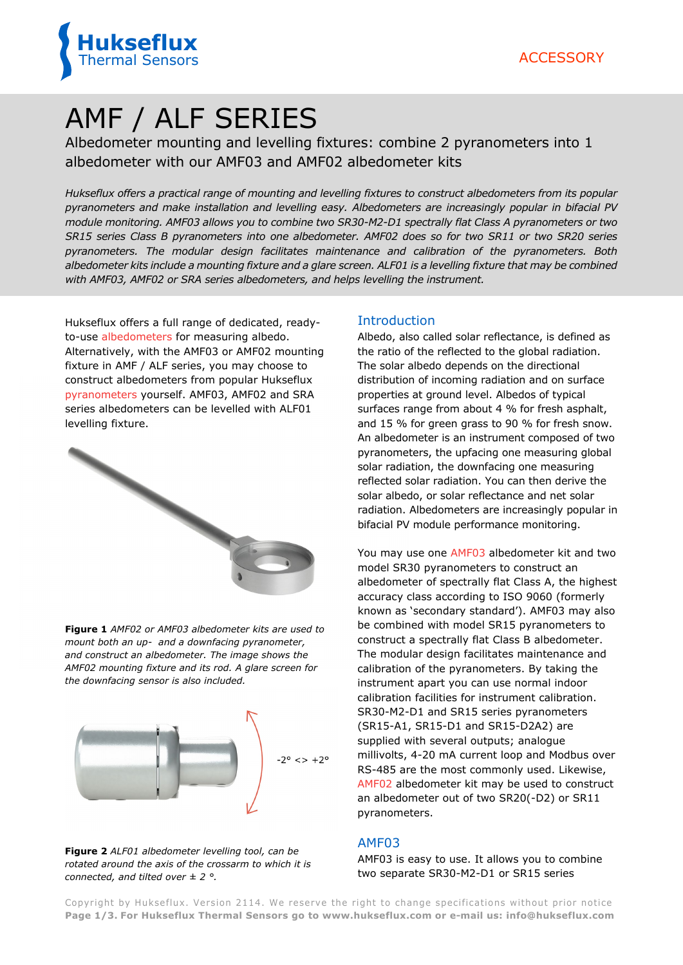

# AMF / ALF SERIES

Albedometer mounting and levelling fixtures: combine 2 pyranometers into 1 albedometer with our AMF03 and AMF02 albedometer kits

*Hukseflux offers a practical range of mounting and levelling fixtures to construct albedometers from its popular pyranometers and make installation and levelling easy. Albedometers are increasingly popular in bifacial PV module monitoring. AMF03 allows you to combine two SR30-M2-D1 spectrally flat Class A pyranometers or two SR15 series Class B pyranometers into one albedometer. AMF02 does so for two SR11 or two SR20 series pyranometers. The modular design facilitates maintenance and calibration of the pyranometers. Both albedometer kits include a mounting fixture and a glare screen. ALF01 is a levelling fixture that may be combined with AMF03, AMF02 or SRA series albedometers, and helps levelling the instrument.* 

Hukseflux offers a full range of dedicated, readyto-use [albedometers](https://www.hukseflux.com/products/solar-radiation-sensors/albedometers) for measuring albedo. Alternatively, with the AMF03 or AMF02 mounting fixture in AMF / ALF series, you may choose to construct albedometers from popular Hukseflux [pyranometers](https://www.hukseflux.com/products/solar-radiation-sensors/pyranometers) yourself. AMF03, AMF02 and SRA series albedometers can be levelled with ALF01 levelling fixture.



**Figure 1** *AMF02 or AMF03 albedometer kits are used to mount both an up- and a downfacing pyranometer, and construct an albedometer. The image shows the AMF02 mounting fixture and its rod. A glare screen for the downfacing sensor is also included.*



**Figure 2** *ALF01 albedometer levelling tool, can be rotated around the axis of the crossarm to which it is connected, and tilted over ± 2 °.*

#### Introduction

Albedo, also called solar reflectance, is defined as the ratio of the reflected to the global radiation. The solar albedo depends on the directional distribution of incoming radiation and on surface properties at ground level. Albedos of typical surfaces range from about 4 % for fresh asphalt, and 15 % for green grass to 90 % for fresh snow. An albedometer is an instrument composed of two pyranometers, the upfacing one measuring global solar radiation, the downfacing one measuring reflected solar radiation. You can then derive the solar albedo, or solar reflectance and net solar radiation. Albedometers are increasingly popular in bifacial PV module performance monitoring.

You may use one [AMF03](https://www.hukseflux.com/products/solar-radiation-sensors/albedometers/amf03-mounting-fixture) albedometer kit and two model SR30 pyranometers to construct an albedometer of spectrally flat Class A, the highest accuracy class according to ISO 9060 (formerly known as 'secondary standard'). AMF03 may also be combined with model SR15 pyranometers to construct a spectrally flat Class B albedometer. The modular design facilitates maintenance and calibration of the pyranometers. By taking the instrument apart you can use normal indoor calibration facilities for instrument calibration. SR30-M2-D1 and SR15 series pyranometers (SR15-A1, SR15-D1 and SR15-D2A2) are supplied with several outputs; analogue millivolts, 4-20 mA current loop and Modbus over RS-485 are the most commonly used. Likewise, [AMF02](https://www.hukseflux.com/products/solar-radiation-sensors/albedometers/amf02-mounting-fixture) albedometer kit may be used to construct an albedometer out of two SR20(-D2) or SR11 pyranometers.

### AMF03

AMF03 is easy to use. It allows you to combine two separate SR30-M2-D1 or SR15 series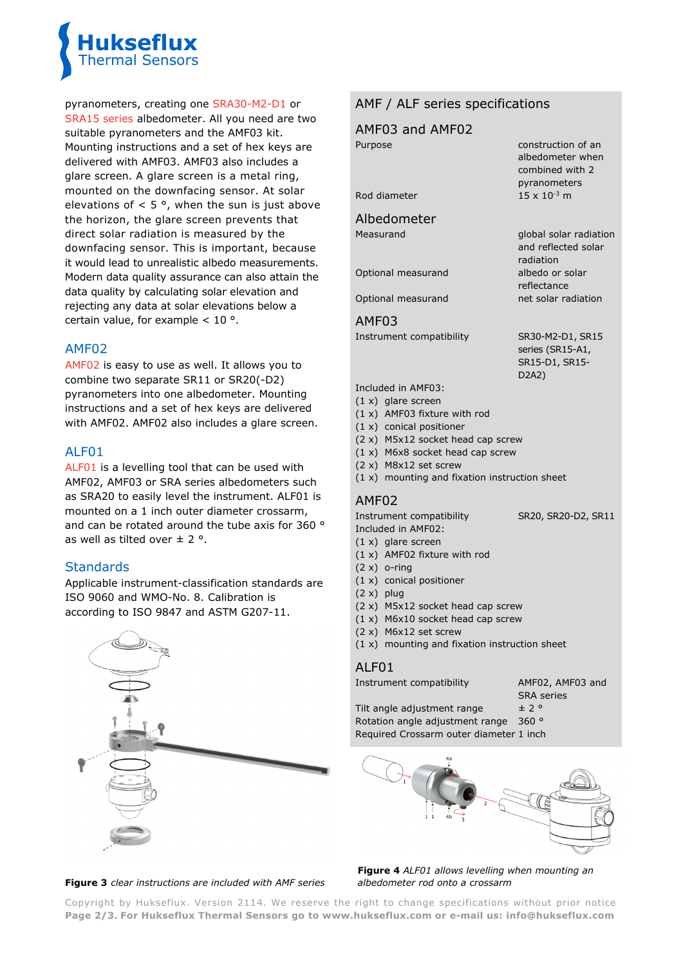

pyranometers, creating one [SRA30-M2-D1](https://www.hukseflux.com/products/solar-radiation-sensors/albedometers/sra30-d1-albedometer) or [SRA15 series](https://www.hukseflux.com/products/solar-radiation-sensors/albedometers/sra15-series-albedometer) albedometer. All you need are two suitable pyranometers and the AMF03 kit. Mounting instructions and a set of hex keys are delivered with AMF03. AMF03 also includes a glare screen. A glare screen is a metal ring, mounted on the downfacing sensor. At solar elevations of  $< 5^\circ$ , when the sun is just above the horizon, the glare screen prevents that direct solar radiation is measured by the downfacing sensor. This is important, because it would lead to unrealistic albedo measurements. Modern data quality assurance can also attain the data quality by calculating solar elevation and rejecting any data at solar elevations below a certain value, for example  $< 10$  °.

## AMF02

[AMF02](https://www.hukseflux.com/products/solar-radiation-sensors/albedometers/amf02-mounting-fixture) is easy to use as well. It allows you to combine two separate SR11 or SR20(-D2) pyranometers into one albedometer. Mounting instructions and a set of hex keys are delivered with AMF02. AMF02 also includes a glare screen.

## ALF01

[ALF01](https://www.hukseflux.com/products/solar-radiation-sensors/albedometers/alf01-levelling-fixture) is a levelling tool that can be used with AMF02, AMF03 or SRA series albedometers such as SRA20 to easily level the instrument. ALF01 is mounted on a 1 inch outer diameter crossarm, and can be rotated around the tube axis for 360 ° as well as tilted over  $\pm$  2 °.

# **Standards**

Applicable instrument-classification standards are ISO 9060 and WMO-No. 8. Calibration is according to ISO 9847 and ASTM G207-11.



## AMF / ALF series specifications

|                    | AMF03 and AMF02                                                                                                                  |                                                                           |
|--------------------|----------------------------------------------------------------------------------------------------------------------------------|---------------------------------------------------------------------------|
| Purpose            |                                                                                                                                  | construction of an<br>albedometer when<br>combined with 2<br>pyranometers |
| Rod diameter       |                                                                                                                                  | $15 \times 10^{-3}$ m                                                     |
|                    | Albedometer                                                                                                                      |                                                                           |
| Measurand          |                                                                                                                                  | global solar radiation<br>and reflected solar<br>radiation                |
| Optional measurand |                                                                                                                                  | albedo or solar<br>reflectance                                            |
| Optional measurand |                                                                                                                                  | net solar radiation                                                       |
| AMF03              |                                                                                                                                  |                                                                           |
|                    | Instrument compatibility                                                                                                         | SR30-M2-D1, SR15<br>series (SR15-A1,<br>SR15-D1, SR15-<br>D2A2)           |
|                    | Included in AMF03:                                                                                                               |                                                                           |
|                    | $(1 x)$ glare screen<br>$(1 x)$ AMF03 fixture with rod                                                                           |                                                                           |
|                    | $(1 x)$ conical positioner<br>(2 x) M5x12 socket head cap screw<br>$(1 x)$ M6x8 socket head cap screw<br>$(2 x)$ M8x12 set screw |                                                                           |
|                    | $(1 x)$ mounting and fixation instruction sheet                                                                                  |                                                                           |
|                    |                                                                                                                                  |                                                                           |

### AMF02

Instrument compatibility SR20, SR20-D2, SR11 Included in AMF02:

- (1 x) glare screen
- (1 x) AMF02 fixture with rod
- $(2 x)$  o-ring
- (1 x) conical positioner
- (2 x) plug
- (2 x) M5x12 socket head cap screw
- (1 x) M6x10 socket head cap screw
- (2 x) M6x12 set screw
- (1 x) mounting and fixation instruction sheet

### ALF01

Instrument compatibility **AMF02, AMF03** and

SRA series

Tilt angle adjustment range  $\pm 2$  ° Rotation angle adjustment range 360 ° Required Crossarm outer diameter 1 inch



#### **Figure 3** *clear instructions are included with AMF series*

**Figure 4** *ALF01 allows levelling when mounting an albedometer rod onto a crossarm* 

Copyright by Hukseflux. Version 2114. We reserve the right to change specifications without prior notice **Page 2/3. For Hukseflux Thermal Sensors go t[o www.hukseflux.com](http://www.hukseflux.com/) or e-mail us: [info@hukseflux.com](mailto:info@hukseflux.com?subject=brochure)**